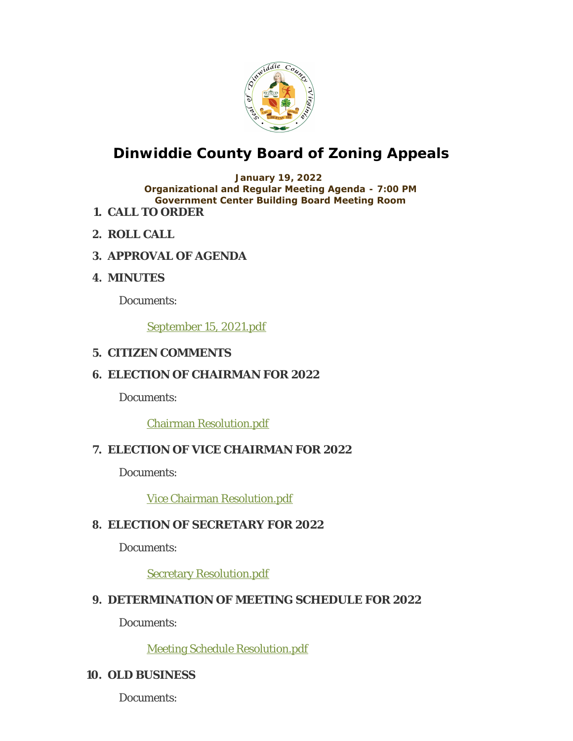

### **Dinwiddie County Board of Zoning Appeals**

#### **January 19, 2022 Organizational and Regular Meeting Agenda - 7:00 PM Government Center Building Board Meeting Room**

- **CALL TO ORDER 1.**
- **ROLL CALL 2.**
- **APPROVAL OF AGENDA 3.**
- **MINUTES 4.**

Documents:

September 15, 2021.pdf

#### **CITIZEN COMMENTS 5.**

#### **ELECTION OF CHAIRMAN FOR 2022 6.**

Documents:

Chairman Resolution.pdf

#### **ELECTION OF VICE CHAIRMAN FOR 2022 7.**

Documents:

Vice Chairman Resolution.pdf

#### **ELECTION OF SECRETARY FOR 2022 8.**

Documents:

Secretary Resolution.pdf

#### **DETERMINATION OF MEETING SCHEDULE FOR 2022 9.**

Documents:

Meeting Schedule Resolution.pdf

#### **OLD BUSINESS 10.**

Documents: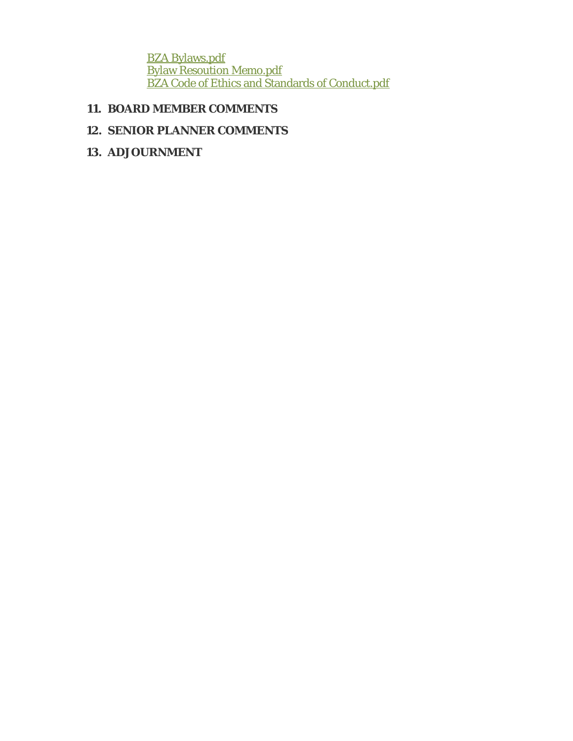BZA Bylaws.pdf Bylaw Resoution Memo.pdf **BZA Code of Ethics and Standards of Conduct.pdf** 

#### **BOARD MEMBER COMMENTS 11.**

#### **SENIOR PLANNER COMMENTS 12.**

**ADJOURNMENT 13.**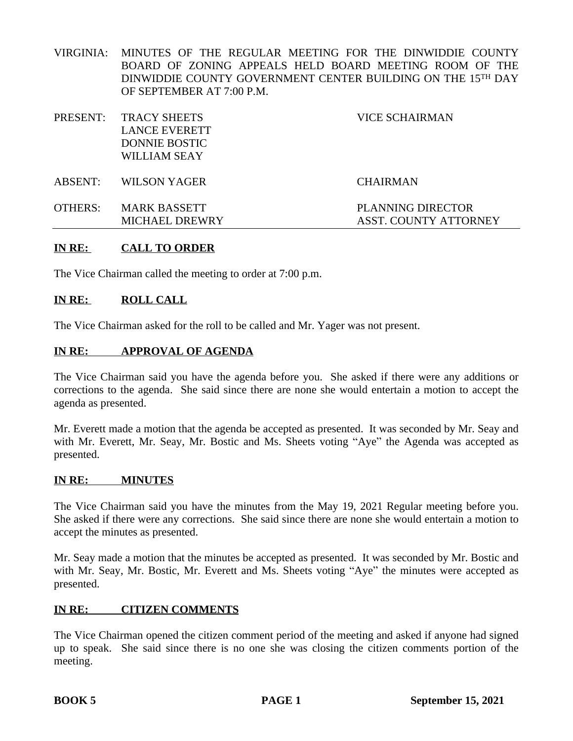VIRGINIA: MINUTES OF THE REGULAR MEETING FOR THE DINWIDDIE COUNTY BOARD OF ZONING APPEALS HELD BOARD MEETING ROOM OF THE DINWIDDIE COUNTY GOVERNMENT CENTER BUILDING ON THE 15<sup>TH</sup> DAY OF SEPTEMBER AT 7:00 P.M.

|         | PRESENT: TRACY SHEETS<br><b>LANCE EVERETT</b><br><b>DONNIE BOSTIC</b><br>WILLIAM SEAY | VICE SCHAIRMAN                                           |
|---------|---------------------------------------------------------------------------------------|----------------------------------------------------------|
| ABSENT: | WILSON YAGER                                                                          | <b>CHAIRMAN</b>                                          |
| OTHERS: | <b>MARK BASSETT</b><br><b>MICHAEL DREWRY</b>                                          | <b>PLANNING DIRECTOR</b><br><b>ASST. COUNTY ATTORNEY</b> |

#### **IN RE: CALL TO ORDER**

The Vice Chairman called the meeting to order at 7:00 p.m.

#### **IN RE: ROLL CALL**

The Vice Chairman asked for the roll to be called and Mr. Yager was not present.

#### **IN RE: APPROVAL OF AGENDA**

The Vice Chairman said you have the agenda before you. She asked if there were any additions or corrections to the agenda. She said since there are none she would entertain a motion to accept the agenda as presented.

Mr. Everett made a motion that the agenda be accepted as presented. It was seconded by Mr. Seay and with Mr. Everett, Mr. Seay, Mr. Bostic and Ms. Sheets voting "Aye" the Agenda was accepted as presented.

#### **IN RE: MINUTES**

The Vice Chairman said you have the minutes from the May 19, 2021 Regular meeting before you. She asked if there were any corrections. She said since there are none she would entertain a motion to accept the minutes as presented.

Mr. Seay made a motion that the minutes be accepted as presented. It was seconded by Mr. Bostic and with Mr. Seay, Mr. Bostic, Mr. Everett and Ms. Sheets voting "Aye" the minutes were accepted as presented.

#### **IN RE: CITIZEN COMMENTS**

The Vice Chairman opened the citizen comment period of the meeting and asked if anyone had signed up to speak. She said since there is no one she was closing the citizen comments portion of the meeting.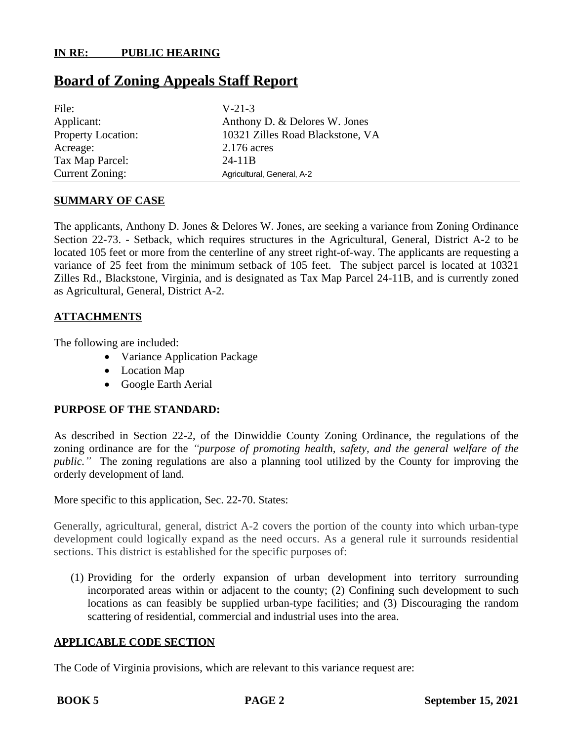#### **Board of Zoning Appeals Staff Report**

| File:              | $V-21-3$                         |
|--------------------|----------------------------------|
| Applicant:         | Anthony D. & Delores W. Jones    |
| Property Location: | 10321 Zilles Road Blackstone, VA |
| Acreage:           | 2.176 acres                      |
| Tax Map Parcel:    | $24-11B$                         |
| Current Zoning:    | Agricultural, General, A-2       |

#### **SUMMARY OF CASE**

The applicants, Anthony D. Jones & Delores W. Jones, are seeking a variance from Zoning Ordinance Section 22-73. - Setback, which requires structures in the Agricultural, General, District A-2 to be located 105 feet or more from the centerline of any street right-of-way. The applicants are requesting a variance of 25 feet from the minimum setback of 105 feet. The subject parcel is located at 10321 Zilles Rd., Blackstone, Virginia, and is designated as Tax Map Parcel 24-11B, and is currently zoned as Agricultural, General, District A-2.

#### **ATTACHMENTS**

The following are included:

- Variance Application Package
- Location Map
- Google Earth Aerial

#### **PURPOSE OF THE STANDARD:**

As described in Section 22-2, of the Dinwiddie County Zoning Ordinance, the regulations of the zoning ordinance are for the *"purpose of promoting health, safety, and the general welfare of the public.*<sup>"</sup> The zoning regulations are also a planning tool utilized by the County for improving the orderly development of land.

More specific to this application, Sec. 22-70. States:

Generally, agricultural, general, district A-2 covers the portion of the county into which urban-type development could logically expand as the need occurs. As a general rule it surrounds residential sections. This district is established for the specific purposes of:

(1) Providing for the orderly expansion of urban development into territory surrounding incorporated areas within or adjacent to the county; (2) Confining such development to such locations as can feasibly be supplied urban-type facilities; and (3) Discouraging the random scattering of residential, commercial and industrial uses into the area.

#### **APPLICABLE CODE SECTION**

The Code of Virginia provisions, which are relevant to this variance request are: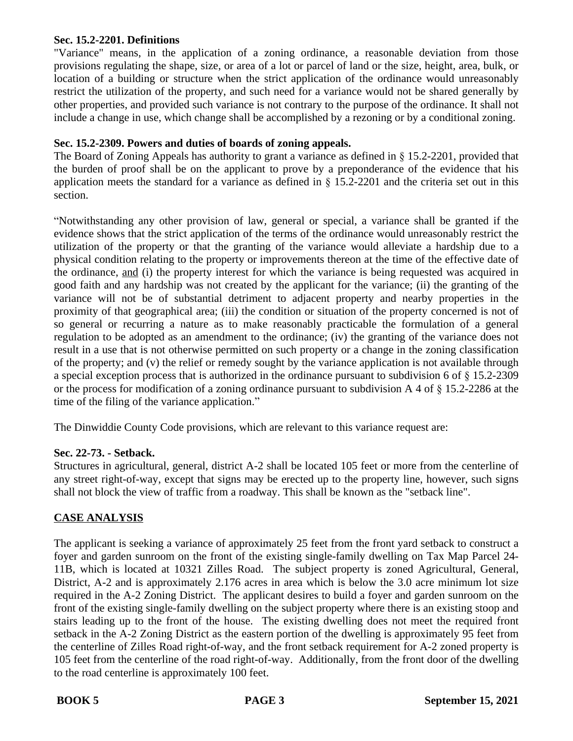#### **Sec. 15.2-2201. Definitions**

"Variance" means, in the application of a zoning ordinance, a reasonable deviation from those provisions regulating the shape, size, or area of a lot or parcel of land or the size, height, area, bulk, or location of a building or structure when the strict application of the ordinance would unreasonably restrict the utilization of the property, and such need for a variance would not be shared generally by other properties, and provided such variance is not contrary to the purpose of the ordinance. It shall not include a change in use, which change shall be accomplished by a rezoning or by a conditional zoning.

#### **Sec. 15.2-2309. Powers and duties of boards of zoning appeals.**

The Board of Zoning Appeals has authority to grant a variance as defined in  $\S$  15.2-2201, provided that the burden of proof shall be on the applicant to prove by a preponderance of the evidence that his application meets the standard for a variance as defined in § 15.2-2201 and the criteria set out in this section.

"Notwithstanding any other provision of law, general or special, a variance shall be granted if the evidence shows that the strict application of the terms of the ordinance would unreasonably restrict the utilization of the property or that the granting of the variance would alleviate a hardship due to a physical condition relating to the property or improvements thereon at the time of the effective date of the ordinance, and (i) the property interest for which the variance is being requested was acquired in good faith and any hardship was not created by the applicant for the variance; (ii) the granting of the variance will not be of substantial detriment to adjacent property and nearby properties in the proximity of that geographical area; (iii) the condition or situation of the property concerned is not of so general or recurring a nature as to make reasonably practicable the formulation of a general regulation to be adopted as an amendment to the ordinance; (iv) the granting of the variance does not result in a use that is not otherwise permitted on such property or a change in the zoning classification of the property; and (v) the relief or remedy sought by the variance application is not available through a special exception process that is authorized in the ordinance pursuant to subdivision 6 of § 15.2-2309 or the process for modification of a zoning ordinance pursuant to subdivision A 4 of  $\S$  15.2-2286 at the time of the filing of the variance application."

The Dinwiddie County Code provisions, which are relevant to this variance request are:

#### **Sec. 22-73. - Setback.**

Structures in agricultural, general, district A-2 shall be located 105 feet or more from the centerline of any street right-of-way, except that signs may be erected up to the property line, however, such signs shall not block the view of traffic from a roadway. This shall be known as the "setback line".

#### **CASE ANALYSIS**

The applicant is seeking a variance of approximately 25 feet from the front yard setback to construct a foyer and garden sunroom on the front of the existing single-family dwelling on Tax Map Parcel 24- 11B, which is located at 10321 Zilles Road. The subject property is zoned Agricultural, General, District, A-2 and is approximately 2.176 acres in area which is below the 3.0 acre minimum lot size required in the A-2 Zoning District. The applicant desires to build a foyer and garden sunroom on the front of the existing single-family dwelling on the subject property where there is an existing stoop and stairs leading up to the front of the house. The existing dwelling does not meet the required front setback in the A-2 Zoning District as the eastern portion of the dwelling is approximately 95 feet from the centerline of Zilles Road right-of-way, and the front setback requirement for A-2 zoned property is 105 feet from the centerline of the road right-of-way. Additionally, from the front door of the dwelling to the road centerline is approximately 100 feet.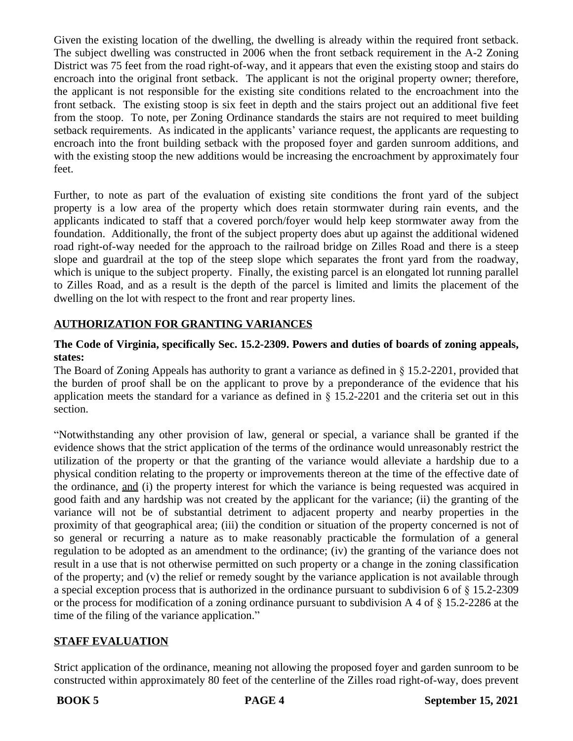Given the existing location of the dwelling, the dwelling is already within the required front setback. The subject dwelling was constructed in 2006 when the front setback requirement in the A-2 Zoning District was 75 feet from the road right-of-way, and it appears that even the existing stoop and stairs do encroach into the original front setback. The applicant is not the original property owner; therefore, the applicant is not responsible for the existing site conditions related to the encroachment into the front setback. The existing stoop is six feet in depth and the stairs project out an additional five feet from the stoop. To note, per Zoning Ordinance standards the stairs are not required to meet building setback requirements. As indicated in the applicants' variance request, the applicants are requesting to encroach into the front building setback with the proposed foyer and garden sunroom additions, and with the existing stoop the new additions would be increasing the encroachment by approximately four feet.

Further, to note as part of the evaluation of existing site conditions the front yard of the subject property is a low area of the property which does retain stormwater during rain events, and the applicants indicated to staff that a covered porch/foyer would help keep stormwater away from the foundation. Additionally, the front of the subject property does abut up against the additional widened road right-of-way needed for the approach to the railroad bridge on Zilles Road and there is a steep slope and guardrail at the top of the steep slope which separates the front yard from the roadway, which is unique to the subject property. Finally, the existing parcel is an elongated lot running parallel to Zilles Road, and as a result is the depth of the parcel is limited and limits the placement of the dwelling on the lot with respect to the front and rear property lines.

#### **AUTHORIZATION FOR GRANTING VARIANCES**

#### **The Code of Virginia, specifically Sec. 15.2-2309. Powers and duties of boards of zoning appeals, states:**

The Board of Zoning Appeals has authority to grant a variance as defined in § 15.2-2201, provided that the burden of proof shall be on the applicant to prove by a preponderance of the evidence that his application meets the standard for a variance as defined in § 15.2-2201 and the criteria set out in this section.

"Notwithstanding any other provision of law, general or special, a variance shall be granted if the evidence shows that the strict application of the terms of the ordinance would unreasonably restrict the utilization of the property or that the granting of the variance would alleviate a hardship due to a physical condition relating to the property or improvements thereon at the time of the effective date of the ordinance, and (i) the property interest for which the variance is being requested was acquired in good faith and any hardship was not created by the applicant for the variance; (ii) the granting of the variance will not be of substantial detriment to adjacent property and nearby properties in the proximity of that geographical area; (iii) the condition or situation of the property concerned is not of so general or recurring a nature as to make reasonably practicable the formulation of a general regulation to be adopted as an amendment to the ordinance; (iv) the granting of the variance does not result in a use that is not otherwise permitted on such property or a change in the zoning classification of the property; and (v) the relief or remedy sought by the variance application is not available through a special exception process that is authorized in the ordinance pursuant to subdivision 6 of § 15.2-2309 or the process for modification of a zoning ordinance pursuant to subdivision A 4 of § 15.2-2286 at the time of the filing of the variance application."

#### **STAFF EVALUATION**

Strict application of the ordinance, meaning not allowing the proposed foyer and garden sunroom to be constructed within approximately 80 feet of the centerline of the Zilles road right-of-way, does prevent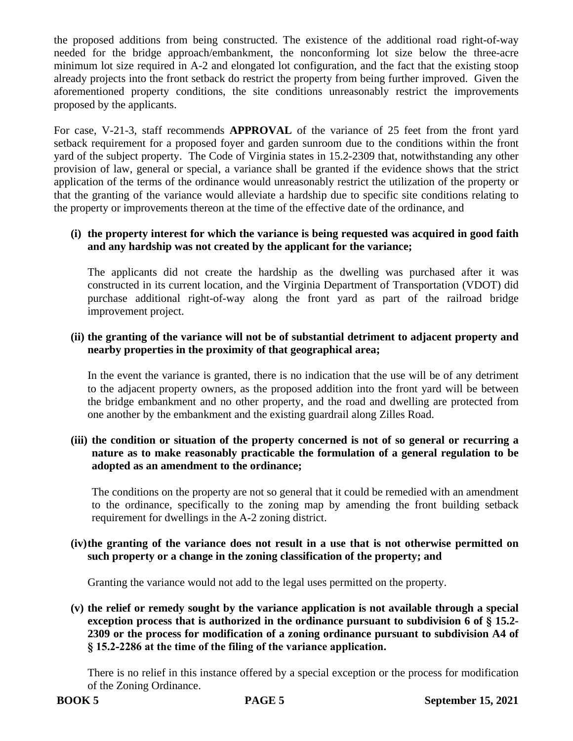the proposed additions from being constructed. The existence of the additional road right-of-way needed for the bridge approach/embankment, the nonconforming lot size below the three-acre minimum lot size required in A-2 and elongated lot configuration, and the fact that the existing stoop already projects into the front setback do restrict the property from being further improved. Given the aforementioned property conditions, the site conditions unreasonably restrict the improvements proposed by the applicants.

For case, V-21-3, staff recommends **APPROVAL** of the variance of 25 feet from the front yard setback requirement for a proposed foyer and garden sunroom due to the conditions within the front yard of the subject property. The Code of Virginia states in 15.2-2309 that, notwithstanding any other provision of law, general or special, a variance shall be granted if the evidence shows that the strict application of the terms of the ordinance would unreasonably restrict the utilization of the property or that the granting of the variance would alleviate a hardship due to specific site conditions relating to the property or improvements thereon at the time of the effective date of the ordinance, and

#### **(i) the property interest for which the variance is being requested was acquired in good faith and any hardship was not created by the applicant for the variance;**

The applicants did not create the hardship as the dwelling was purchased after it was constructed in its current location, and the Virginia Department of Transportation (VDOT) did purchase additional right-of-way along the front yard as part of the railroad bridge improvement project.

#### **(ii) the granting of the variance will not be of substantial detriment to adjacent property and nearby properties in the proximity of that geographical area;**

In the event the variance is granted, there is no indication that the use will be of any detriment to the adjacent property owners, as the proposed addition into the front yard will be between the bridge embankment and no other property, and the road and dwelling are protected from one another by the embankment and the existing guardrail along Zilles Road.

#### **(iii) the condition or situation of the property concerned is not of so general or recurring a nature as to make reasonably practicable the formulation of a general regulation to be adopted as an amendment to the ordinance;**

The conditions on the property are not so general that it could be remedied with an amendment to the ordinance, specifically to the zoning map by amending the front building setback requirement for dwellings in the A-2 zoning district.

#### **(iv)the granting of the variance does not result in a use that is not otherwise permitted on such property or a change in the zoning classification of the property; and**

Granting the variance would not add to the legal uses permitted on the property.

**(v) the relief or remedy sought by the variance application is not available through a special exception process that is authorized in the ordinance pursuant to subdivision 6 of § 15.2- 2309 or the process for modification of a zoning ordinance pursuant to subdivision A4 of § 15.2-2286 at the time of the filing of the variance application.**

There is no relief in this instance offered by a special exception or the process for modification of the Zoning Ordinance.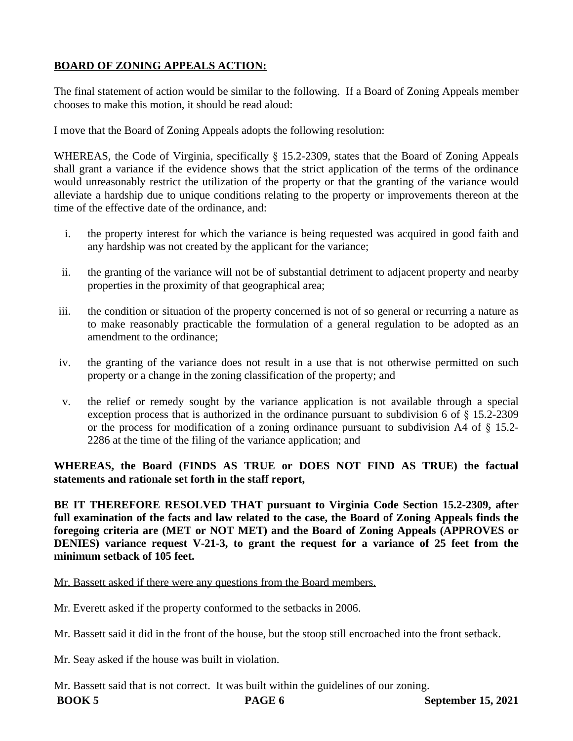#### **BOARD OF ZONING APPEALS ACTION:**

The final statement of action would be similar to the following. If a Board of Zoning Appeals member chooses to make this motion, it should be read aloud:

I move that the Board of Zoning Appeals adopts the following resolution:

WHEREAS, the Code of Virginia, specifically § 15.2-2309, states that the Board of Zoning Appeals shall grant a variance if the evidence shows that the strict application of the terms of the ordinance would unreasonably restrict the utilization of the property or that the granting of the variance would alleviate a hardship due to unique conditions relating to the property or improvements thereon at the time of the effective date of the ordinance, and:

- i. the property interest for which the variance is being requested was acquired in good faith and any hardship was not created by the applicant for the variance;
- ii. the granting of the variance will not be of substantial detriment to adjacent property and nearby properties in the proximity of that geographical area;
- iii. the condition or situation of the property concerned is not of so general or recurring a nature as to make reasonably practicable the formulation of a general regulation to be adopted as an amendment to the ordinance;
- iv. the granting of the variance does not result in a use that is not otherwise permitted on such property or a change in the zoning classification of the property; and
- v. the relief or remedy sought by the variance application is not available through a special exception process that is authorized in the ordinance pursuant to subdivision 6 of § 15.2-2309 or the process for modification of a zoning ordinance pursuant to subdivision A4 of § 15.2- 2286 at the time of the filing of the variance application; and

**WHEREAS, the Board (FINDS AS TRUE or DOES NOT FIND AS TRUE) the factual statements and rationale set forth in the staff report,** 

**BE IT THEREFORE RESOLVED THAT pursuant to Virginia Code Section 15.2-2309, after full examination of the facts and law related to the case, the Board of Zoning Appeals finds the foregoing criteria are (MET or NOT MET) and the Board of Zoning Appeals (APPROVES or DENIES) variance request V-21-3, to grant the request for a variance of 25 feet from the minimum setback of 105 feet.**

Mr. Bassett asked if there were any questions from the Board members.

Mr. Everett asked if the property conformed to the setbacks in 2006.

Mr. Bassett said it did in the front of the house, but the stoop still encroached into the front setback.

Mr. Seay asked if the house was built in violation.

Mr. Bassett said that is not correct. It was built within the guidelines of our zoning.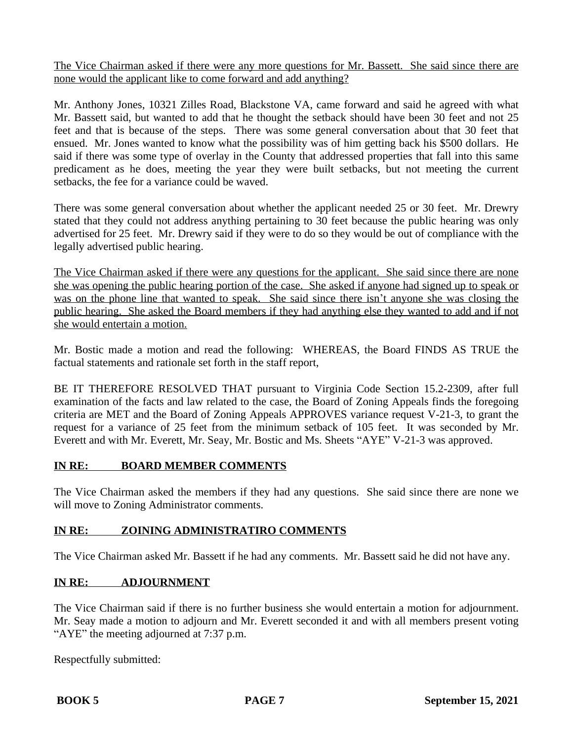The Vice Chairman asked if there were any more questions for Mr. Bassett. She said since there are none would the applicant like to come forward and add anything?

Mr. Anthony Jones, 10321 Zilles Road, Blackstone VA, came forward and said he agreed with what Mr. Bassett said, but wanted to add that he thought the setback should have been 30 feet and not 25 feet and that is because of the steps. There was some general conversation about that 30 feet that ensued. Mr. Jones wanted to know what the possibility was of him getting back his \$500 dollars. He said if there was some type of overlay in the County that addressed properties that fall into this same predicament as he does, meeting the year they were built setbacks, but not meeting the current setbacks, the fee for a variance could be waved.

There was some general conversation about whether the applicant needed 25 or 30 feet. Mr. Drewry stated that they could not address anything pertaining to 30 feet because the public hearing was only advertised for 25 feet. Mr. Drewry said if they were to do so they would be out of compliance with the legally advertised public hearing.

The Vice Chairman asked if there were any questions for the applicant. She said since there are none she was opening the public hearing portion of the case. She asked if anyone had signed up to speak or was on the phone line that wanted to speak. She said since there isn't anyone she was closing the public hearing. She asked the Board members if they had anything else they wanted to add and if not she would entertain a motion.

Mr. Bostic made a motion and read the following: WHEREAS, the Board FINDS AS TRUE the factual statements and rationale set forth in the staff report,

BE IT THEREFORE RESOLVED THAT pursuant to Virginia Code Section 15.2-2309, after full examination of the facts and law related to the case, the Board of Zoning Appeals finds the foregoing criteria are MET and the Board of Zoning Appeals APPROVES variance request V-21-3, to grant the request for a variance of 25 feet from the minimum setback of 105 feet. It was seconded by Mr. Everett and with Mr. Everett, Mr. Seay, Mr. Bostic and Ms. Sheets "AYE" V-21-3 was approved.

#### **IN RE: BOARD MEMBER COMMENTS**

The Vice Chairman asked the members if they had any questions. She said since there are none we will move to Zoning Administrator comments.

#### **IN RE: ZOINING ADMINISTRATIRO COMMENTS**

The Vice Chairman asked Mr. Bassett if he had any comments. Mr. Bassett said he did not have any.

#### **IN RE: ADJOURNMENT**

The Vice Chairman said if there is no further business she would entertain a motion for adjournment. Mr. Seay made a motion to adjourn and Mr. Everett seconded it and with all members present voting "AYE" the meeting adjourned at 7:37 p.m.

Respectfully submitted: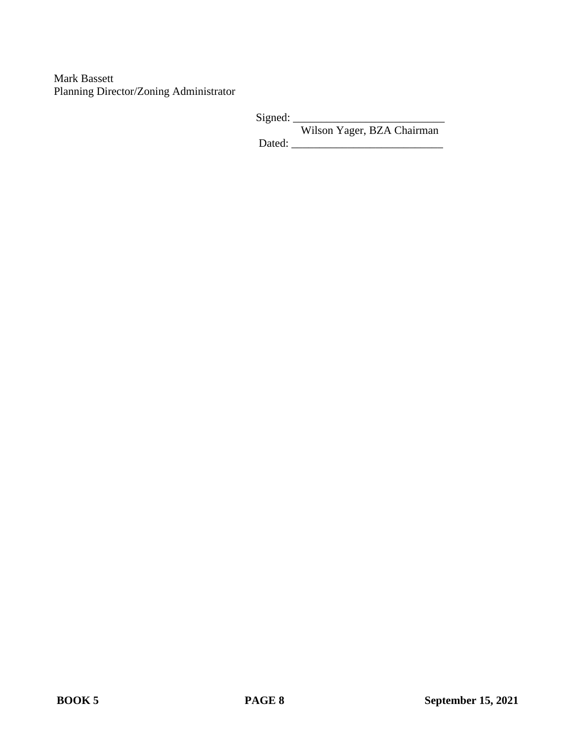Mark Bassett Planning Director/Zoning Administrator

> Signed: Wilson Yager, BZA Chairman Dated:  $\_\_$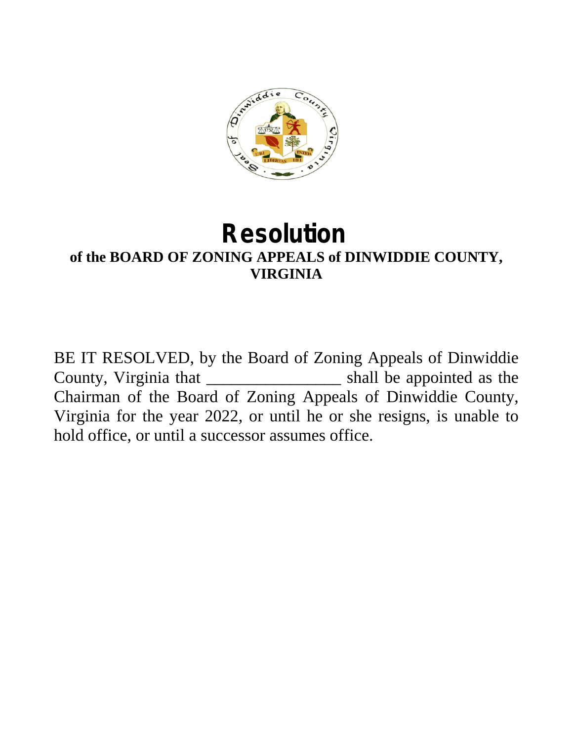

### **Resolution of the BOARD OF ZONING APPEALS of DINWIDDIE COUNTY, VIRGINIA**

BE IT RESOLVED, by the Board of Zoning Appeals of Dinwiddie County, Virginia that \_\_\_\_\_\_\_\_\_\_\_\_\_\_\_\_ shall be appointed as the Chairman of the Board of Zoning Appeals of Dinwiddie County, Virginia for the year 2022, or until he or she resigns, is unable to hold office, or until a successor assumes office.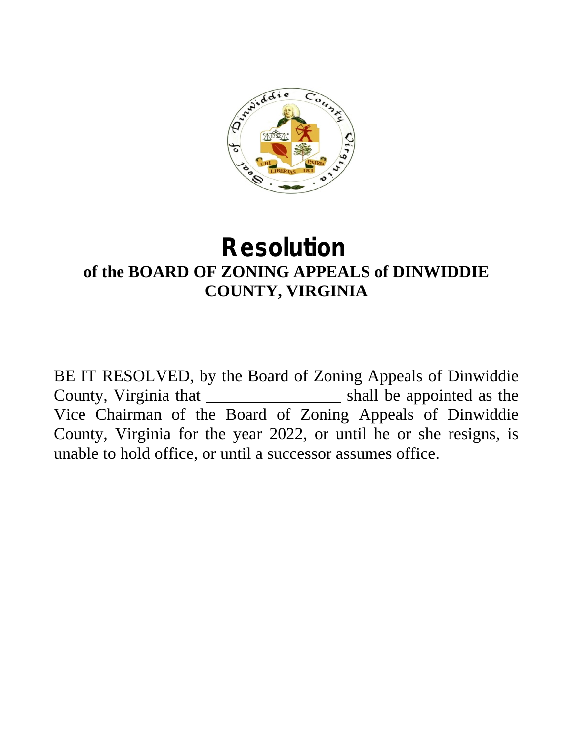

## **Resolution of the BOARD OF ZONING APPEALS of DINWIDDIE COUNTY, VIRGINIA**

BE IT RESOLVED, by the Board of Zoning Appeals of Dinwiddie County, Virginia that \_\_\_\_\_\_\_\_\_\_\_\_\_\_\_\_ shall be appointed as the Vice Chairman of the Board of Zoning Appeals of Dinwiddie County, Virginia for the year 2022, or until he or she resigns, is unable to hold office, or until a successor assumes office.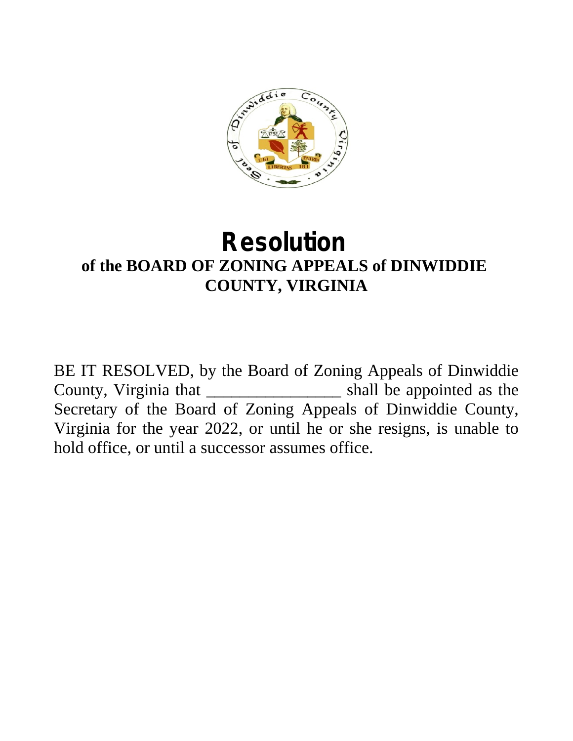

## **Resolution of the BOARD OF ZONING APPEALS of DINWIDDIE COUNTY, VIRGINIA**

BE IT RESOLVED, by the Board of Zoning Appeals of Dinwiddie County, Virginia that \_\_\_\_\_\_\_\_\_\_\_\_\_\_\_\_ shall be appointed as the Secretary of the Board of Zoning Appeals of Dinwiddie County, Virginia for the year 2022, or until he or she resigns, is unable to hold office, or until a successor assumes office.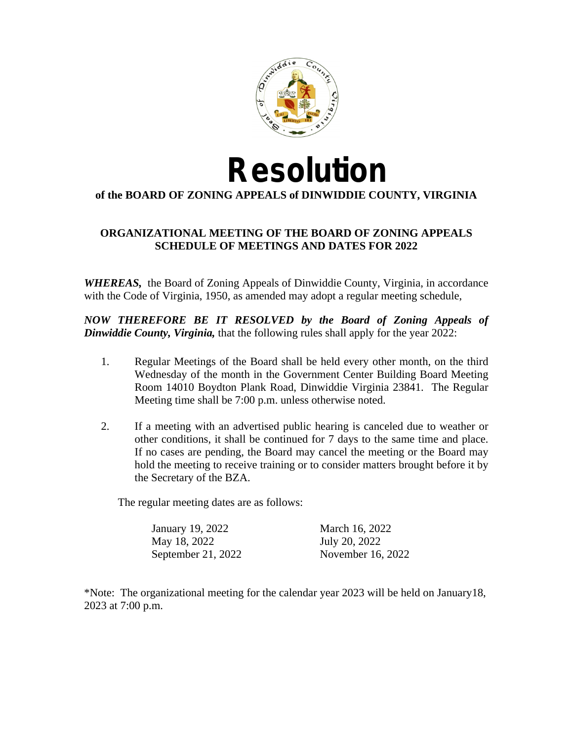

# **Resolution**

#### **of the BOARD OF ZONING APPEALS of DINWIDDIE COUNTY, VIRGINIA**

#### **ORGANIZATIONAL MEETING OF THE BOARD OF ZONING APPEALS SCHEDULE OF MEETINGS AND DATES FOR 2022**

*WHEREAS,* the Board of Zoning Appeals of Dinwiddie County, Virginia, in accordance with the Code of Virginia, 1950, as amended may adopt a regular meeting schedule,

*NOW THEREFORE BE IT RESOLVED by the Board of Zoning Appeals of Dinwiddie County, Virginia,* that the following rules shall apply for the year 2022:

- 1. Regular Meetings of the Board shall be held every other month, on the third Wednesday of the month in the Government Center Building Board Meeting Room 14010 Boydton Plank Road, Dinwiddie Virginia 23841. The Regular Meeting time shall be 7:00 p.m. unless otherwise noted.
- 2. If a meeting with an advertised public hearing is canceled due to weather or other conditions, it shall be continued for 7 days to the same time and place. If no cases are pending, the Board may cancel the meeting or the Board may hold the meeting to receive training or to consider matters brought before it by the Secretary of the BZA.

The regular meeting dates are as follows:

| January 19, 2022   | March 16, 2022    |
|--------------------|-------------------|
| May 18, 2022       | July 20, 2022     |
| September 21, 2022 | November 16, 2022 |

\*Note: The organizational meeting for the calendar year 2023 will be held on January18, 2023 at 7:00 p.m.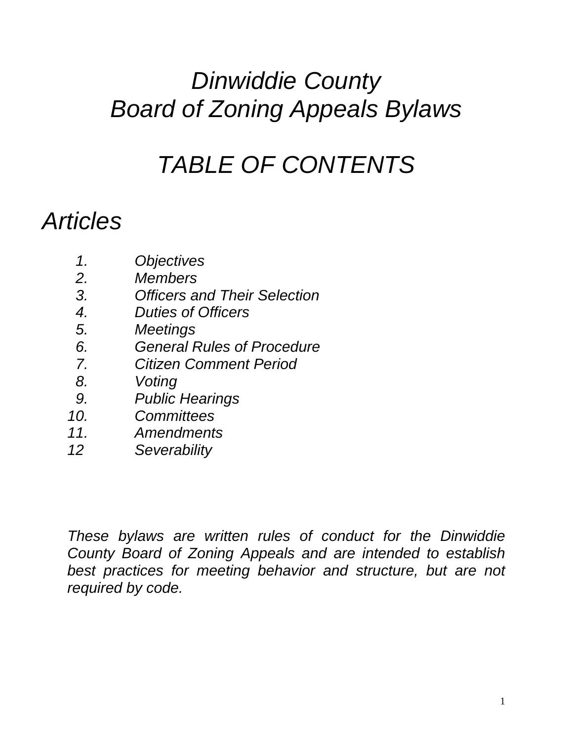## *Dinwiddie County Board of Zoning Appeals Bylaws*

## *TABLE OF CONTENTS*

## *Articles*

- *1. Objectives*
- *2. Members*
- *3. Officers and Their Selection*
- *4. Duties of Officers*
- *5. Meetings*
- *6. General Rules of Procedure*
- *7. Citizen Comment Period*
- *8. Voting*
- *9. Public Hearings*
- *10. Committees*
- *11. Amendments*
- *12 Severability*

*These bylaws are written rules of conduct for the Dinwiddie County Board of Zoning Appeals and are intended to establish best practices for meeting behavior and structure, but are not required by code.*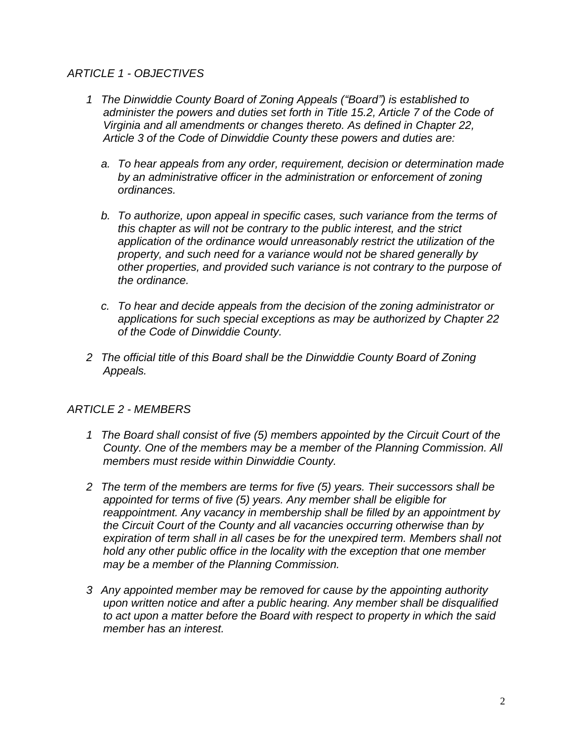#### *ARTICLE 1 - OBJECTIVES*

- *1 The Dinwiddie County Board of Zoning Appeals ("Board") is established to administer the powers and duties set forth in Title 15.2, Article 7 of the Code of Virginia and all amendments or changes thereto. As defined in Chapter 22, Article 3 of the Code of Dinwiddie County these powers and duties are:*
	- *a. To hear appeals from any order, requirement, decision or determination made by an administrative officer in the administration or enforcement of zoning ordinances.*
	- *b. To authorize, upon appeal in specific cases, such variance from the terms of this chapter as will not be contrary to the public interest, and the strict application of the ordinance would unreasonably restrict the utilization of the property, and such need for a variance would not be shared generally by other properties, and provided such variance is not contrary to the purpose of the ordinance.*
	- *c. To hear and decide appeals from the decision of the zoning administrator or applications for such special exceptions as may be authorized by Chapter 22 of the Code of Dinwiddie County.*
- *2 The official title of this Board shall be the Dinwiddie County Board of Zoning Appeals.*

#### *ARTICLE 2 - MEMBERS*

- *1 The Board shall consist of five (5) members appointed by the Circuit Court of the County. One of the members may be a member of the Planning Commission. All members must reside within Dinwiddie County.*
- *2 The term of the members are terms for five (5) years. Their successors shall be appointed for terms of five (5) years. Any member shall be eligible for reappointment. Any vacancy in membership shall be filled by an appointment by the Circuit Court of the County and all vacancies occurring otherwise than by expiration of term shall in all cases be for the unexpired term. Members shall not hold any other public office in the locality with the exception that one member may be a member of the Planning Commission.*
- *3 Any appointed member may be removed for cause by the appointing authority upon written notice and after a public hearing. Any member shall be disqualified to act upon a matter before the Board with respect to property in which the said member has an interest.*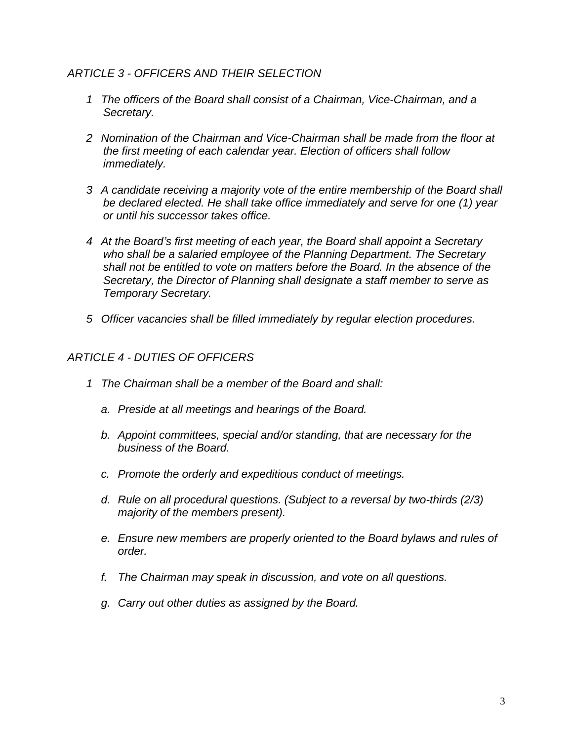#### *ARTICLE 3 - OFFICERS AND THEIR SELECTION*

- *1 The officers of the Board shall consist of a Chairman, Vice-Chairman, and a Secretary.*
- *2 Nomination of the Chairman and Vice-Chairman shall be made from the floor at the first meeting of each calendar year. Election of officers shall follow immediately.*
- *3 A candidate receiving a majority vote of the entire membership of the Board shall be declared elected. He shall take office immediately and serve for one (1) year or until his successor takes office.*
- *4 At the Board's first meeting of each year, the Board shall appoint a Secretary who shall be a salaried employee of the Planning Department. The Secretary shall not be entitled to vote on matters before the Board. In the absence of the Secretary, the Director of Planning shall designate a staff member to serve as Temporary Secretary.*
- *5 Officer vacancies shall be filled immediately by regular election procedures.*

#### *ARTICLE 4 - DUTIES OF OFFICERS*

- *1 The Chairman shall be a member of the Board and shall:*
	- *a. Preside at all meetings and hearings of the Board.*
	- *b. Appoint committees, special and/or standing, that are necessary for the business of the Board.*
	- *c. Promote the orderly and expeditious conduct of meetings.*
	- *d. Rule on all procedural questions. (Subject to a reversal by two-thirds (2/3) majority of the members present).*
	- *e. Ensure new members are properly oriented to the Board bylaws and rules of order.*
	- *f. The Chairman may speak in discussion, and vote on all questions.*
	- *g. Carry out other duties as assigned by the Board.*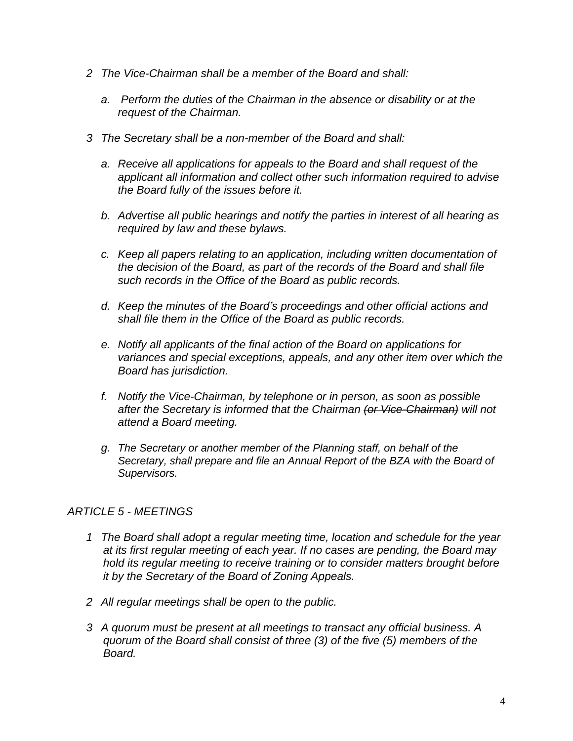- *2 The Vice-Chairman shall be a member of the Board and shall:*
	- *a. Perform the duties of the Chairman in the absence or disability or at the request of the Chairman.*
- *3 The Secretary shall be a non-member of the Board and shall:*
	- *a. Receive all applications for appeals to the Board and shall request of the applicant all information and collect other such information required to advise the Board fully of the issues before it.*
	- *b. Advertise all public hearings and notify the parties in interest of all hearing as required by law and these bylaws.*
	- *c. Keep all papers relating to an application, including written documentation of the decision of the Board, as part of the records of the Board and shall file such records in the Office of the Board as public records.*
	- *d. Keep the minutes of the Board's proceedings and other official actions and shall file them in the Office of the Board as public records.*
	- *e. Notify all applicants of the final action of the Board on applications for variances and special exceptions, appeals, and any other item over which the Board has jurisdiction.*
	- *f. Notify the Vice-Chairman, by telephone or in person, as soon as possible after the Secretary is informed that the Chairman (or Vice-Chairman) will not attend a Board meeting.*
	- *g. The Secretary or another member of the Planning staff, on behalf of the Secretary, shall prepare and file an Annual Report of the BZA with the Board of Supervisors.*

#### *ARTICLE 5 - MEETINGS*

- *1 The Board shall adopt a regular meeting time, location and schedule for the year at its first regular meeting of each year. If no cases are pending, the Board may hold its regular meeting to receive training or to consider matters brought before it by the Secretary of the Board of Zoning Appeals.*
- *2 All regular meetings shall be open to the public.*
- *3 A quorum must be present at all meetings to transact any official business. A quorum of the Board shall consist of three (3) of the five (5) members of the Board.*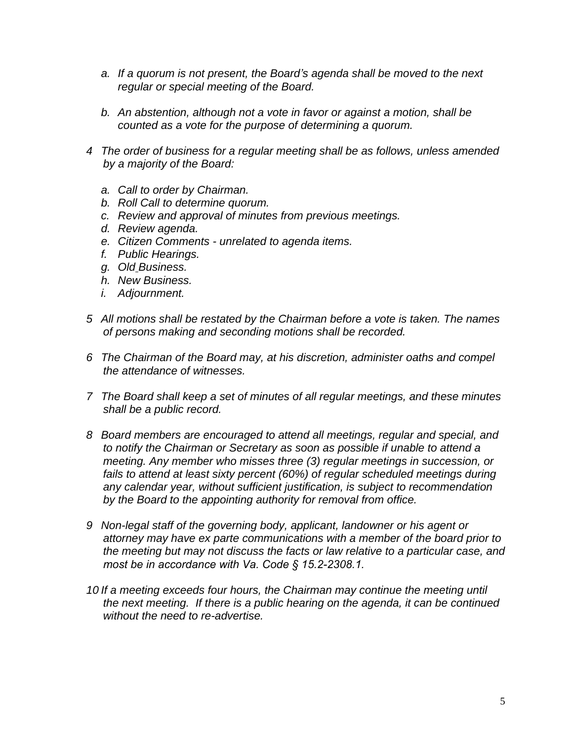- *a. If a quorum is not present, the Board's agenda shall be moved to the next regular or special meeting of the Board.*
- *b. An abstention, although not a vote in favor or against a motion, shall be counted as a vote for the purpose of determining a quorum.*
- *4 The order of business for a regular meeting shall be as follows, unless amended by a majority of the Board:*
	- *a. Call to order by Chairman.*
	- *b. Roll Call to determine quorum.*
	- *c. Review and approval of minutes from previous meetings.*
	- *d. Review agenda.*
	- *e. Citizen Comments unrelated to agenda items.*
	- *f. Public Hearings.*
	- *g. Old Business.*
	- *h. New Business.*
	- *i. Adjournment.*
- *5 All motions shall be restated by the Chairman before a vote is taken. The names of persons making and seconding motions shall be recorded.*
- *6 The Chairman of the Board may, at his discretion, administer oaths and compel the attendance of witnesses.*
- *7 The Board shall keep a set of minutes of all regular meetings, and these minutes shall be a public record.*
- *8 Board members are encouraged to attend all meetings, regular and special, and to notify the Chairman or Secretary as soon as possible if unable to attend a meeting. Any member who misses three (3) regular meetings in succession, or fails to attend at least sixty percent (60%) of regular scheduled meetings during any calendar year, without sufficient justification, is subject to recommendation by the Board to the appointing authority for removal from office.*
- *9 Non-legal staff of the governing body, applicant, landowner or his agent or attorney may have ex parte communications with a member of the board prior to the meeting but may not discuss the facts or law relative to a particular case, and most be in accordance with Va. Code § 15.2-2308.1.*
- *10 If a meeting exceeds four hours, the Chairman may continue the meeting until the next meeting. If there is a public hearing on the agenda, it can be continued without the need to re-advertise.*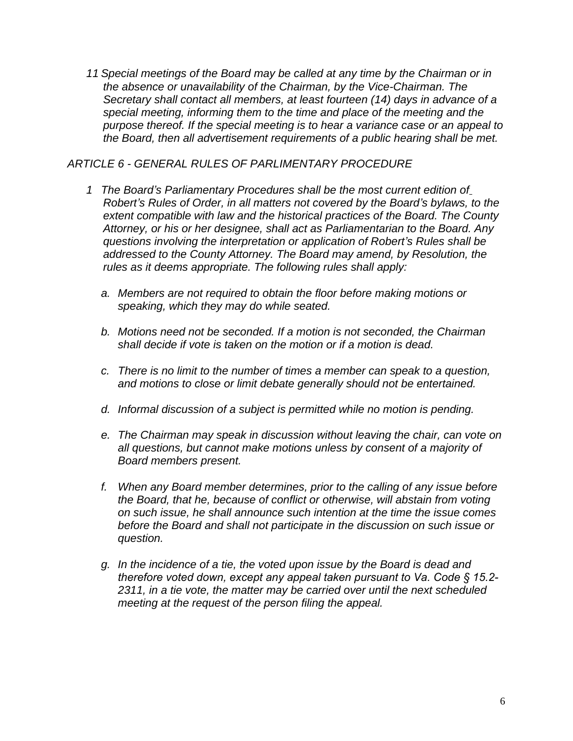*11 Special meetings of the Board may be called at any time by the Chairman or in the absence or unavailability of the Chairman, by the Vice-Chairman. The Secretary shall contact all members, at least fourteen (14) days in advance of a special meeting, informing them to the time and place of the meeting and the purpose thereof. If the special meeting is to hear a variance case or an appeal to the Board, then all advertisement requirements of a public hearing shall be met.* 

#### *ARTICLE 6 - GENERAL RULES OF PARLIMENTARY PROCEDURE*

- *1 The Board's Parliamentary Procedures shall be the most current edition of Robert's Rules of Order, in all matters not covered by the Board's bylaws, to the extent compatible with law and the historical practices of the Board. The County Attorney, or his or her designee, shall act as Parliamentarian to the Board. Any questions involving the interpretation or application of Robert's Rules shall be addressed to the County Attorney. The Board may amend, by Resolution, the rules as it deems appropriate. The following rules shall apply:*
	- *a. Members are not required to obtain the floor before making motions or speaking, which they may do while seated.*
	- *b. Motions need not be seconded. If a motion is not seconded, the Chairman shall decide if vote is taken on the motion or if a motion is dead.*
	- *c. There is no limit to the number of times a member can speak to a question, and motions to close or limit debate generally should not be entertained.*
	- *d. Informal discussion of a subject is permitted while no motion is pending.*
	- *e. The Chairman may speak in discussion without leaving the chair, can vote on all questions, but cannot make motions unless by consent of a majority of Board members present.*
	- *f. When any Board member determines, prior to the calling of any issue before the Board, that he, because of conflict or otherwise, will abstain from voting on such issue, he shall announce such intention at the time the issue comes before the Board and shall not participate in the discussion on such issue or question.*
	- *g. In the incidence of a tie, the voted upon issue by the Board is dead and therefore voted down, except any appeal taken pursuant to Va. Code § 15.2- 2311, in a tie vote, the matter may be carried over until the next scheduled meeting at the request of the person filing the appeal.*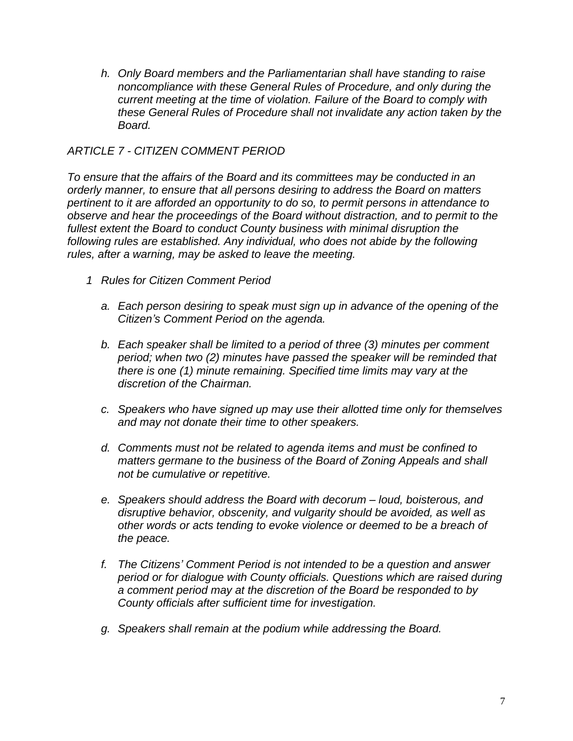*h. Only Board members and the Parliamentarian shall have standing to raise noncompliance with these General Rules of Procedure, and only during the current meeting at the time of violation. Failure of the Board to comply with these General Rules of Procedure shall not invalidate any action taken by the Board.*

#### *ARTICLE 7 - CITIZEN COMMENT PERIOD*

*To ensure that the affairs of the Board and its committees may be conducted in an orderly manner, to ensure that all persons desiring to address the Board on matters pertinent to it are afforded an opportunity to do so, to permit persons in attendance to observe and hear the proceedings of the Board without distraction, and to permit to the fullest extent the Board to conduct County business with minimal disruption the following rules are established. Any individual, who does not abide by the following rules, after a warning, may be asked to leave the meeting.*

- *1 Rules for Citizen Comment Period*
	- *a. Each person desiring to speak must sign up in advance of the opening of the Citizen's Comment Period on the agenda.*
	- *b. Each speaker shall be limited to a period of three (3) minutes per comment period; when two (2) minutes have passed the speaker will be reminded that there is one (1) minute remaining. Specified time limits may vary at the discretion of the Chairman.*
	- *c. Speakers who have signed up may use their allotted time only for themselves and may not donate their time to other speakers.*
	- *d. Comments must not be related to agenda items and must be confined to matters germane to the business of the Board of Zoning Appeals and shall not be cumulative or repetitive.*
	- *e. Speakers should address the Board with decorum – loud, boisterous, and disruptive behavior, obscenity, and vulgarity should be avoided, as well as other words or acts tending to evoke violence or deemed to be a breach of the peace.*
	- *f. The Citizens' Comment Period is not intended to be a question and answer period or for dialogue with County officials. Questions which are raised during a comment period may at the discretion of the Board be responded to by County officials after sufficient time for investigation.*
	- *g. Speakers shall remain at the podium while addressing the Board.*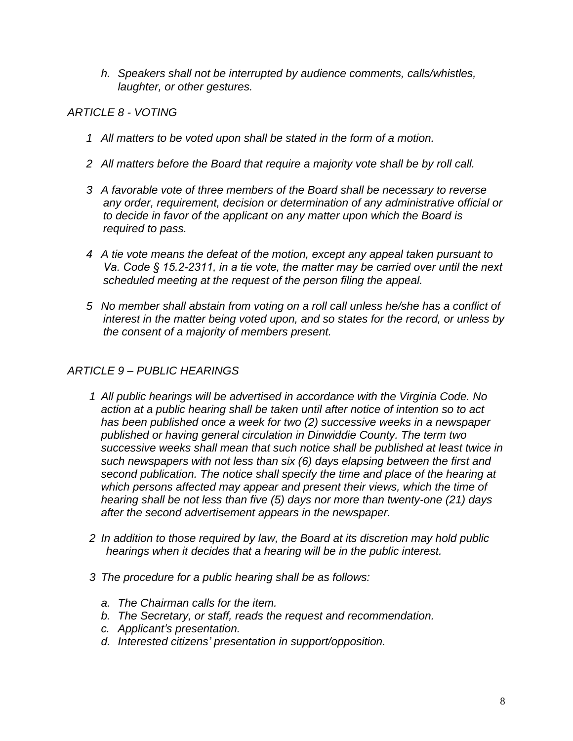*h. Speakers shall not be interrupted by audience comments, calls/whistles, laughter, or other gestures.*

#### *ARTICLE 8 - VOTING*

- *1 All matters to be voted upon shall be stated in the form of a motion.*
- *2 All matters before the Board that require a majority vote shall be by roll call.*
- *3 A favorable vote of three members of the Board shall be necessary to reverse any order, requirement, decision or determination of any administrative official or to decide in favor of the applicant on any matter upon which the Board is required to pass.*
- *4 A tie vote means the defeat of the motion, except any appeal taken pursuant to Va. Code § 15.2-2311, in a tie vote, the matter may be carried over until the next scheduled meeting at the request of the person filing the appeal.*
- *5 No member shall abstain from voting on a roll call unless he/she has a conflict of interest in the matter being voted upon, and so states for the record, or unless by the consent of a majority of members present.*

#### *ARTICLE 9 – PUBLIC HEARINGS*

- *1 All public hearings will be advertised in accordance with the Virginia Code. No action at a public hearing shall be taken until after notice of intention so to act has been published once a week for two (2) successive weeks in a newspaper published or having general circulation in Dinwiddie County. The term two successive weeks shall mean that such notice shall be published at least twice in such newspapers with not less than six (6) days elapsing between the first and second publication. The notice shall specify the time and place of the hearing at which persons affected may appear and present their views, which the time of hearing shall be not less than five (5) days nor more than twenty-one (21) days after the second advertisement appears in the newspaper.*
- *2 In addition to those required by law, the Board at its discretion may hold public hearings when it decides that a hearing will be in the public interest.*
- *3 The procedure for a public hearing shall be as follows:*
	- *a. The Chairman calls for the item.*
	- *b. The Secretary, or staff, reads the request and recommendation.*
	- *c. Applicant's presentation.*
	- *d. Interested citizens' presentation in support/opposition.*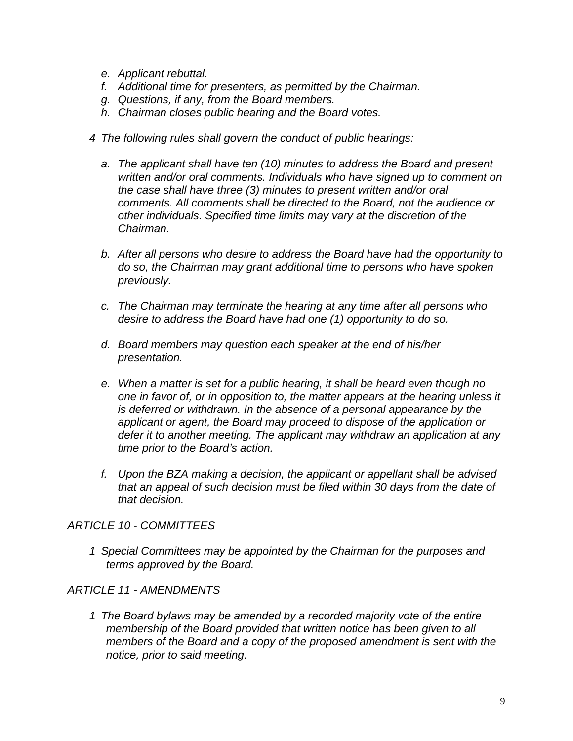- *e. Applicant rebuttal.*
- *f. Additional time for presenters, as permitted by the Chairman.*
- *g. Questions, if any, from the Board members.*
- *h. Chairman closes public hearing and the Board votes.*
- *4 The following rules shall govern the conduct of public hearings:*
	- *a. The applicant shall have ten (10) minutes to address the Board and present written and/or oral comments. Individuals who have signed up to comment on the case shall have three (3) minutes to present written and/or oral comments. All comments shall be directed to the Board, not the audience or other individuals. Specified time limits may vary at the discretion of the Chairman.*
	- *b. After all persons who desire to address the Board have had the opportunity to do so, the Chairman may grant additional time to persons who have spoken previously.*
	- *c. The Chairman may terminate the hearing at any time after all persons who desire to address the Board have had one (1) opportunity to do so.*
	- *d. Board members may question each speaker at the end of his/her presentation.*
	- *e. When a matter is set for a public hearing, it shall be heard even though no one in favor of, or in opposition to, the matter appears at the hearing unless it is deferred or withdrawn. In the absence of a personal appearance by the applicant or agent, the Board may proceed to dispose of the application or defer it to another meeting. The applicant may withdraw an application at any time prior to the Board's action.*
	- *f. Upon the BZA making a decision, the applicant or appellant shall be advised that an appeal of such decision must be filed within 30 days from the date of that decision.*

#### *ARTICLE 10 - COMMITTEES*

*1 Special Committees may be appointed by the Chairman for the purposes and terms approved by the Board.*

#### *ARTICLE 11 - AMENDMENTS*

*1 The Board bylaws may be amended by a recorded majority vote of the entire membership of the Board provided that written notice has been given to all members of the Board and a copy of the proposed amendment is sent with the notice, prior to said meeting.*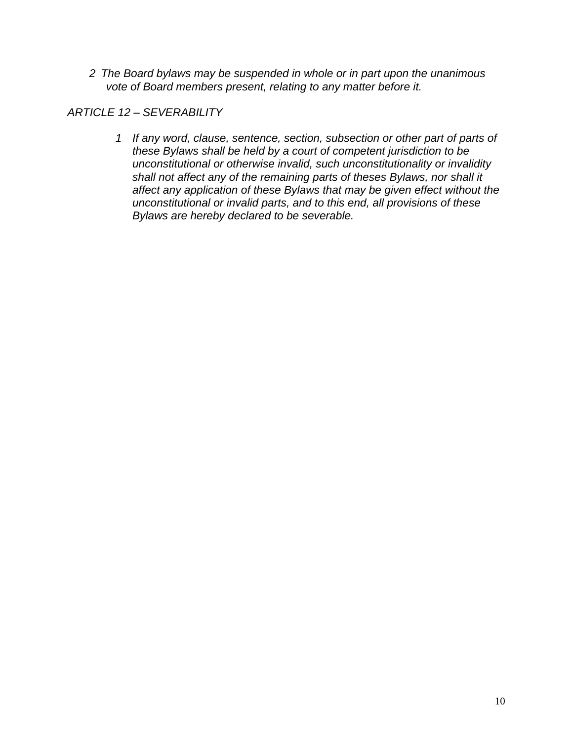*2 The Board bylaws may be suspended in whole or in part upon the unanimous vote of Board members present, relating to any matter before it.*

*ARTICLE 12 – SEVERABILITY*

*1 If any word, clause, sentence, section, subsection or other part of parts of these Bylaws shall be held by a court of competent jurisdiction to be unconstitutional or otherwise invalid, such unconstitutionality or invalidity shall not affect any of the remaining parts of theses Bylaws, nor shall it affect any application of these Bylaws that may be given effect without the unconstitutional or invalid parts, and to this end, all provisions of these Bylaws are hereby declared to be severable.*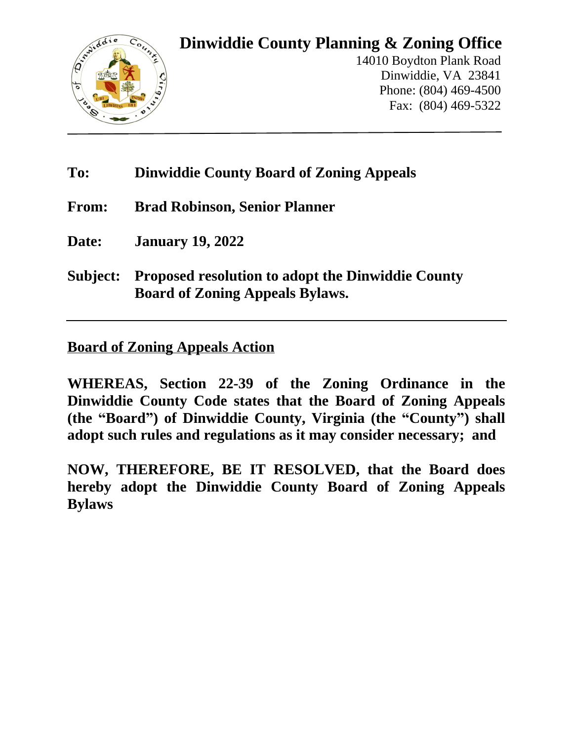

### **Dinwiddie County Planning & Zoning Office**

14010 Boydton Plank Road Dinwiddie, VA 23841 Phone: (804) 469-4500 Fax: (804) 469-5322

### **To: Dinwiddie County Board of Zoning Appeals**

**From: Brad Robinson, Senior Planner**

**Date: January 19, 2022**

**Subject: Proposed resolution to adopt the Dinwiddie County Board of Zoning Appeals Bylaws.**

#### **Board of Zoning Appeals Action**

**WHEREAS, Section 22-39 of the Zoning Ordinance in the Dinwiddie County Code states that the Board of Zoning Appeals (the "Board") of Dinwiddie County, Virginia (the "County") shall adopt such rules and regulations as it may consider necessary; and**

**NOW, THEREFORE, BE IT RESOLVED, that the Board does hereby adopt the Dinwiddie County Board of Zoning Appeals Bylaws**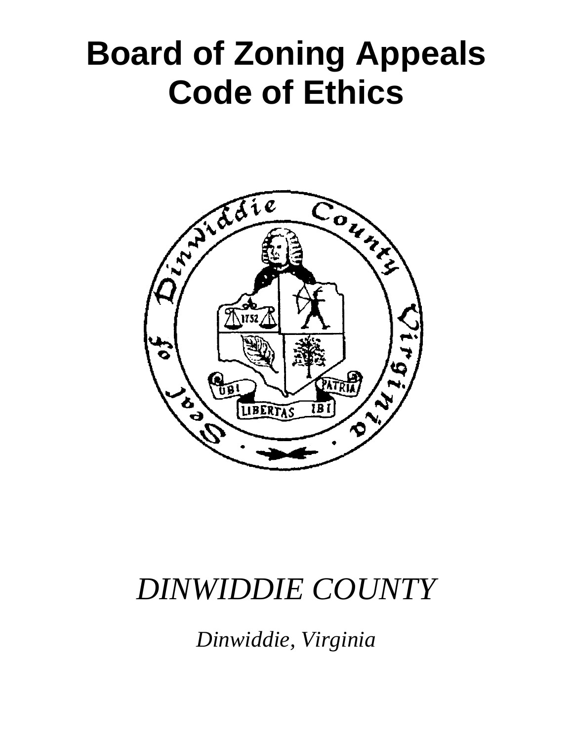# **Board of Zoning Appeals Code of Ethics**



## *DINWIDDIE COUNTY*

*Dinwiddie, Virginia*